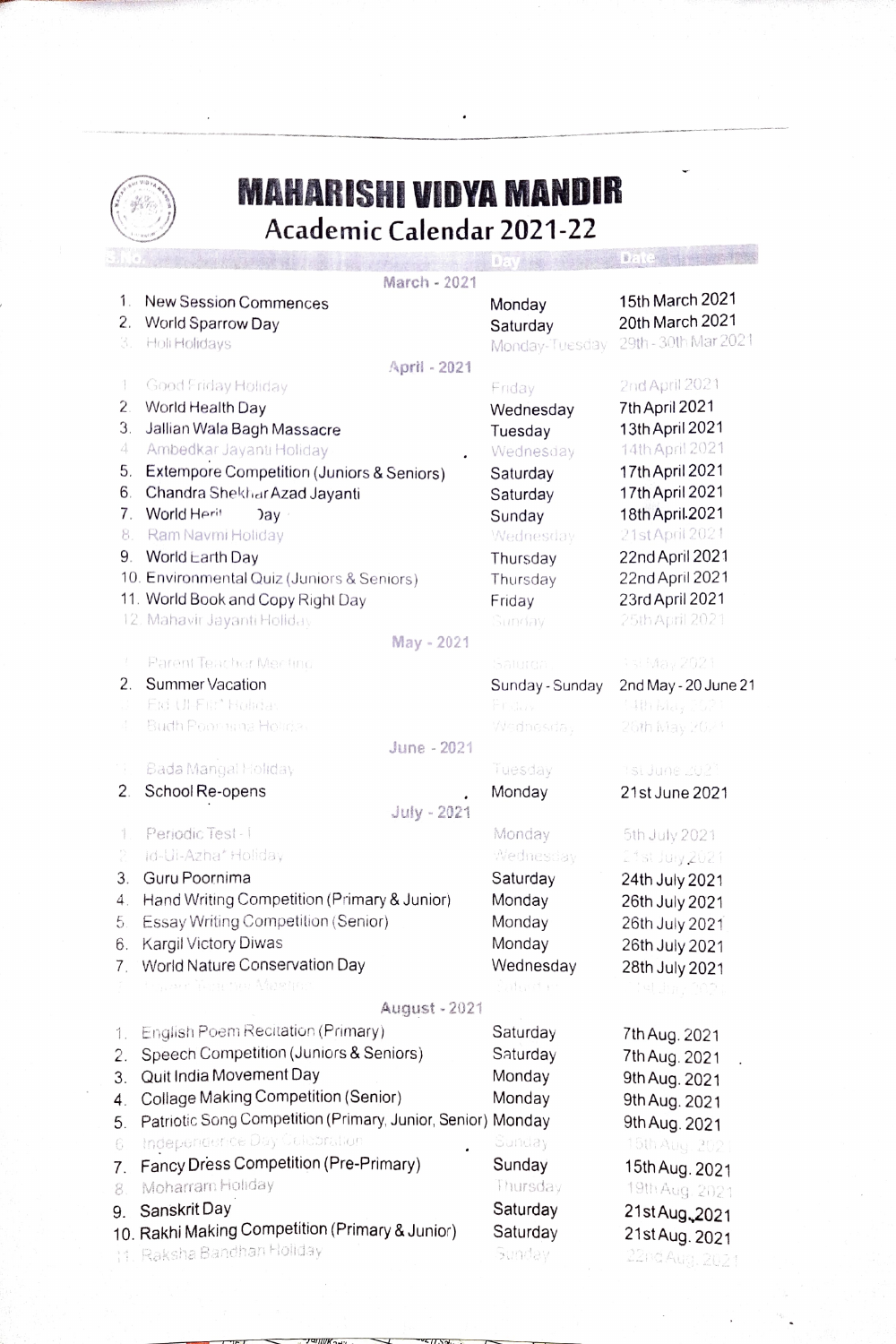

 $\bar{\bar{z}}$ 

## MAHARISHI VIDYA MANDIR Academic Calendar 2021-22

 $\ddot{\phantom{0}}$ 

|    |                                                             | $E_{\rm{c}}$    | $B = ($              |
|----|-------------------------------------------------------------|-----------------|----------------------|
|    | March - 2021                                                |                 |                      |
| 1. | <b>New Session Commences</b>                                | Monday          | 15th March 2021      |
| 2. | World Sparrow Day                                           | Saturday        | 20th March 2021      |
| 3. | Holi Holidays                                               | Monday-Tuesday  | 29th - 30th Mar 2021 |
|    | April - 2021                                                |                 |                      |
| Ŧ  | Good Friday Holiday                                         | Friday          | 2nd April 2021       |
| 2. | World Health Day                                            | Wednesday       | 7th April 2021       |
| З. | Jallian Wala Bagh Massacre                                  | Tuesday         | 13th April 2021      |
| 4  | Ambedkar Jayanti Holiday                                    | Wednesday       | 14th April 2021      |
| 5. | Extempore Competition (Juniors & Seniors)                   | Saturday        | 17th April 2021      |
| 6. | Chandra Shekhar Azad Jayanti                                | Saturday        | 17th April 2021      |
| 7. | World Herit<br>Jay                                          | Sunday          | 18th April 2021      |
| 8. | Ram Navmi Holiday                                           | Wednesday       | 21st April 2021      |
| 9. | World Earth Day                                             | Thursday        | 22nd April 2021      |
|    | 10. Environmental Quiz (Juniors & Seniors)                  | Thursday        | 22nd April 2021      |
|    | 11. World Book and Copy Right Day                           | Friday          | 23rd April 2021      |
|    | 12. Mahavir Jayanti Holiday                                 | Sunday          | 25th April 2021      |
|    | May - 2021                                                  |                 |                      |
|    | Parent Teacher Meeting                                      | Salurda         | is! May 2021         |
| 2. | Summer Vacation                                             | Sunday - Sunday | 2nd May - 20 June 21 |
|    | Eid-Ul-Fitt* Holidas                                        | Friday          | (4th May 262         |
| 4  | Budh Poor what Holiday                                      | Wednesday       | 26th May 2021        |
|    | June - 2021                                                 |                 |                      |
| 7  | Bada Mangal Holiday                                         | Tuesday         | 1st June 2021        |
| 2. | School Re-opens                                             | Monday          | 21st June 2021       |
|    | July - 2021                                                 |                 |                      |
| Ť  | Periodic Test-1                                             | Monday          | 5th July 2021        |
| ŷ  | id-Ui-Azha* Holiday                                         | Wednesday       | 21st July 2021       |
| 3. | Guru Poornima                                               | Saturday        | 24th July 2021       |
| 4. | Hand Writing Competition (Primary & Junior)                 | Monday          | 26th July 2021       |
| 5. | Essay Writing Competition (Senior)                          | Monday          | 26th July 2021       |
| 6. | Kargil Victory Diwas                                        | Monday          | 26th July 2021       |
| 7. | World Nature Conservation Day                               | Wednesday       | 28th July 2021       |
|    | the set Yang the Agents                                     | Suitend e       | tet Juny 2024        |
|    | August - 2021                                               |                 |                      |
| 1. | <b>English Poem Recitation (Primary)</b>                    | Saturday        | 7th Aug. 2021        |
| 2. | Speech Competition (Juniors & Seniors)                      | Saturday        | 7th Aug. 2021        |
| 3. | Quit India Movement Day                                     | Monday          | 9th Aug. 2021        |
| 4. | Collage Making Competition (Senior)                         | Monday          | 9th Aug. 2021        |
| 5. | Patriotic Song Competition (Primary, Junior, Senior) Monday |                 | 9th Aug. 2021        |
| 6. | Independence Day Celebration                                | Sunday          | 15th Aug. 202        |
| 7. | Fancy Dress Competition (Pre-Primary)                       | Sunday          | 15th Aug. 2021       |
| 8. | Moharram Holiday                                            | Thursday        | 19th Aug. 2021       |
| 9. | Sanskrit Day                                                | Saturday        | 21st Aug 2021        |
|    | 10. Rakhi Making Competition (Primary & Junior)             | Saturday        | 21st Aug. 2021       |
|    | 11. Raksha Bandhan Holiday                                  | Sunday          | 22nd Aug. 2021       |
|    |                                                             |                 |                      |

 $T = T$